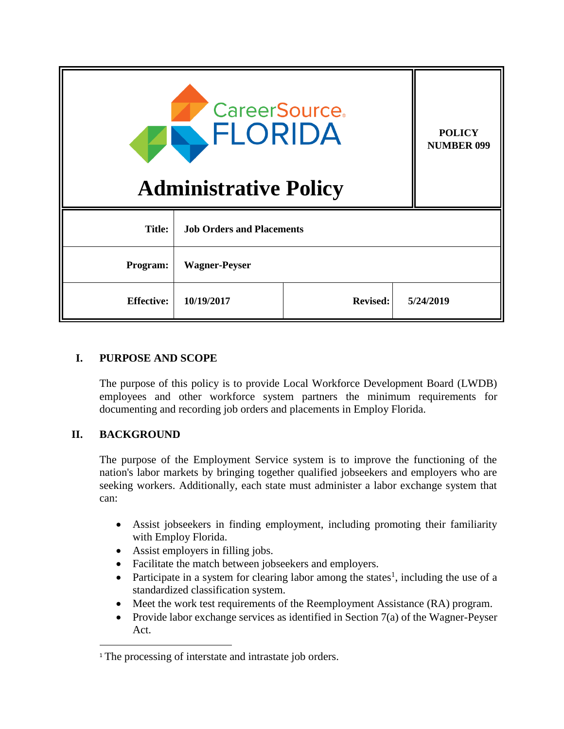| <b>CareerSource.</b><br>ELORIDA<br><b>Administrative Policy</b> |                                  |                 |  | <b>POLICY</b><br><b>NUMBER 099</b> |
|-----------------------------------------------------------------|----------------------------------|-----------------|--|------------------------------------|
| <b>Title:</b>                                                   | <b>Job Orders and Placements</b> |                 |  |                                    |
| Program:                                                        | <b>Wagner-Peyser</b>             |                 |  |                                    |
| <b>Effective:</b>                                               | 10/19/2017                       | <b>Revised:</b> |  | 5/24/2019                          |

## **I. PURPOSE AND SCOPE**

The purpose of this policy is to provide Local Workforce Development Board (LWDB) employees and other workforce system partners the minimum requirements for documenting and recording job orders and placements in Employ Florida.

## **II. BACKGROUND**

 $\overline{\phantom{a}}$ 

The purpose of the Employment Service system is to improve the functioning of the nation's labor markets by bringing together qualified jobseekers and employers who are seeking workers. Additionally, each state must administer a labor exchange system that can:

- Assist jobseekers in finding employment, including promoting their familiarity with Employ Florida.
- Assist employers in filling jobs.
- Facilitate the match between jobseekers and employers.
- Participate in a system for clearing labor among the states<sup>1</sup>, including the use of a standardized classification system.
- Meet the work test requirements of the Reemployment Assistance (RA) program.
- Provide labor exchange services as identified in Section  $7(a)$  of the Wagner-Peyser Act.

<sup>&</sup>lt;sup>1</sup> The processing of interstate and intrastate job orders.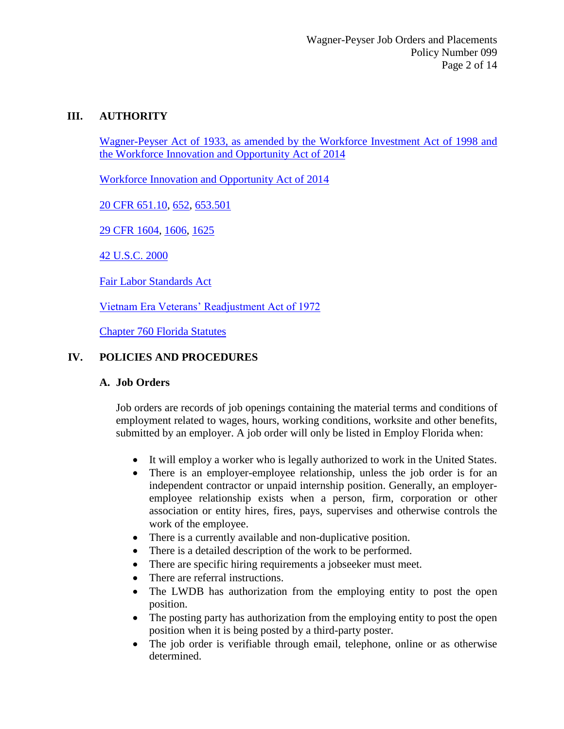### **III. AUTHORITY**

Wagner-Peyser Act of 1933, as amended by the Workforce Investment Act of 1998 and the Workforce Innovation and Opportunity Act of 2014

Workforce Innovation and Opportunity Act of 2014

20 CFR 651.10, 652, 653.501

29 CFR 1604, 1606, 1625

42 U.S.C. 2000

Fair Labor Standards Act

Vietnam Era Veterans' Readjustment Act of 1972

Chapter 760 Florida Statutes

### **IV. POLICIES AND PROCEDURES**

#### **A. Job Orders**

Job orders are records of job openings containing the material terms and conditions of employment related to wages, hours, working conditions, worksite and other benefits, submitted by an employer. A job order will only be listed in Employ Florida when:

- It will employ a worker who is legally authorized to work in the United States.
- There is an employer-employee relationship, unless the job order is for an independent contractor or unpaid internship position. Generally, an employeremployee relationship exists when a person, firm, corporation or other association or entity hires, fires, pays, supervises and otherwise controls the work of the employee.
- There is a currently available and non-duplicative position.
- There is a detailed description of the work to be performed.
- There are specific hiring requirements a jobseeker must meet.
- There are referral instructions.
- The LWDB has authorization from the employing entity to post the open position.
- The posting party has authorization from the employing entity to post the open position when it is being posted by a third-party poster.
- The job order is verifiable through email, telephone, online or as otherwise determined.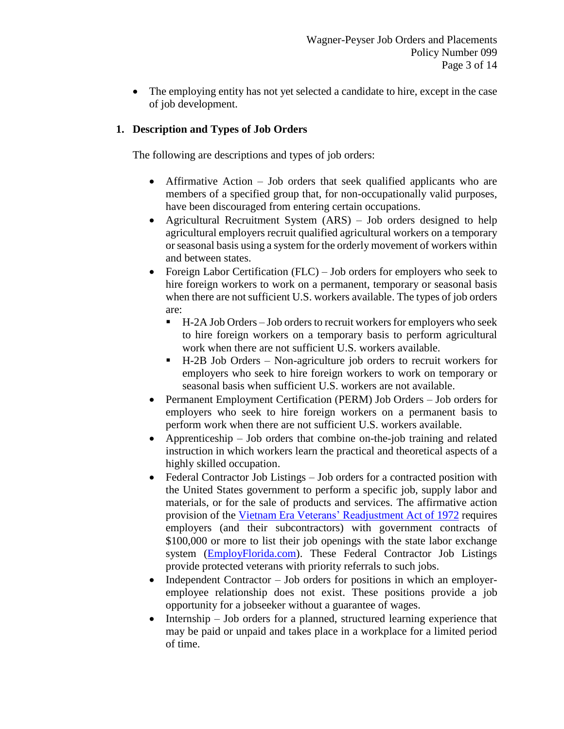• The employing entity has not yet selected a candidate to hire, except in the case of job development.

# **1. Description and Types of Job Orders**

The following are descriptions and types of job orders:

- Affirmative Action Job orders that seek qualified applicants who are members of a specified group that, for non-occupationally valid purposes, have been discouraged from entering certain occupations.
- Agricultural Recruitment System (ARS) Job orders designed to help agricultural employers recruit qualified agricultural workers on a temporary or seasonal basis using a system for the orderly movement of workers within and between states.
- Foreign Labor Certification (FLC) Job orders for employers who seek to hire foreign workers to work on a permanent, temporary or seasonal basis when there are not sufficient U.S. workers available. The types of job orders are:
	- H-2A Job Orders Job orders to recruit workers for employers who seek to hire foreign workers on a temporary basis to perform agricultural work when there are not sufficient U.S. workers available.
	- H-2B Job Orders Non-agriculture job orders to recruit workers for employers who seek to hire foreign workers to work on temporary or seasonal basis when sufficient U.S. workers are not available.
- Permanent Employment Certification (PERM) Job Orders Job orders for employers who seek to hire foreign workers on a permanent basis to perform work when there are not sufficient U.S. workers available.
- Apprenticeship Job orders that combine on-the-job training and related instruction in which workers learn the practical and theoretical aspects of a highly skilled occupation.
- Federal Contractor Job Listings Job orders for a contracted position with the United States government to perform a specific job, supply labor and materials, or for the sale of products and services. The affirmative action provision of the Vietnam Era Veterans' Readjustment Act of 1972 requires employers (and their subcontractors) with government contracts of \$100,000 or more to list their job openings with the state labor exchange system (EmployFlorida.com). These Federal Contractor Job Listings provide protected veterans with priority referrals to such jobs.
- Independent Contractor Job orders for positions in which an employeremployee relationship does not exist. These positions provide a job opportunity for a jobseeker without a guarantee of wages.
- Internship Job orders for a planned, structured learning experience that may be paid or unpaid and takes place in a workplace for a limited period of time.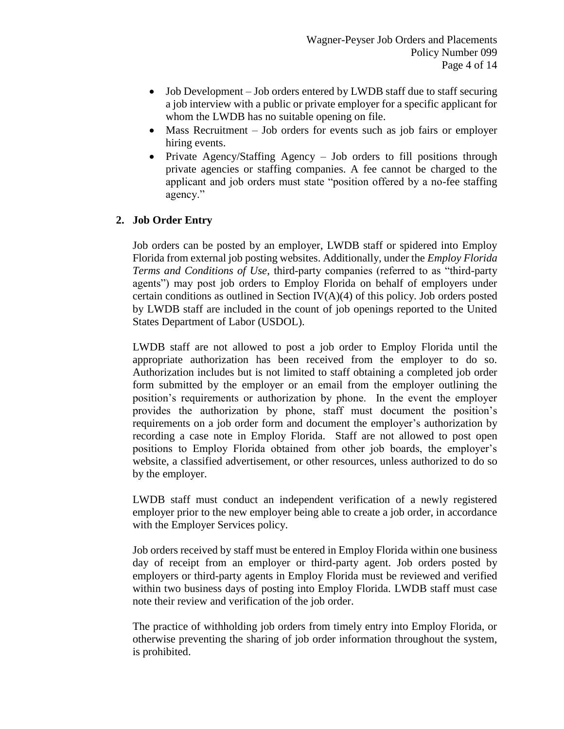- Job Development Job orders entered by LWDB staff due to staff securing a job interview with a public or private employer for a specific applicant for whom the LWDB has no suitable opening on file.
- Mass Recruitment Job orders for events such as job fairs or employer hiring events.
- Private Agency/Staffing Agency Job orders to fill positions through private agencies or staffing companies. A fee cannot be charged to the applicant and job orders must state "position offered by a no-fee staffing agency."

## **2. Job Order Entry**

Job orders can be posted by an employer, LWDB staff or spidered into Employ Florida from external job posting websites. Additionally, under the *Employ Florida Terms and Conditions of Use*, third-party companies (referred to as "third-party agents") may post job orders to Employ Florida on behalf of employers under certain conditions as outlined in Section  $IV(A)(4)$  of this policy. Job orders posted by LWDB staff are included in the count of job openings reported to the United States Department of Labor (USDOL).

LWDB staff are not allowed to post a job order to Employ Florida until the appropriate authorization has been received from the employer to do so. Authorization includes but is not limited to staff obtaining a completed job order form submitted by the employer or an email from the employer outlining the position's requirements or authorization by phone. In the event the employer provides the authorization by phone, staff must document the position's requirements on a job order form and document the employer's authorization by recording a case note in Employ Florida. Staff are not allowed to post open positions to Employ Florida obtained from other job boards, the employer's website, a classified advertisement, or other resources, unless authorized to do so by the employer.

LWDB staff must conduct an independent verification of a newly registered employer prior to the new employer being able to create a job order, in accordance with the Employer Services policy.

Job orders received by staff must be entered in Employ Florida within one business day of receipt from an employer or third-party agent. Job orders posted by employers or third-party agents in Employ Florida must be reviewed and verified within two business days of posting into Employ Florida. LWDB staff must case note their review and verification of the job order.

The practice of withholding job orders from timely entry into Employ Florida, or otherwise preventing the sharing of job order information throughout the system, is prohibited.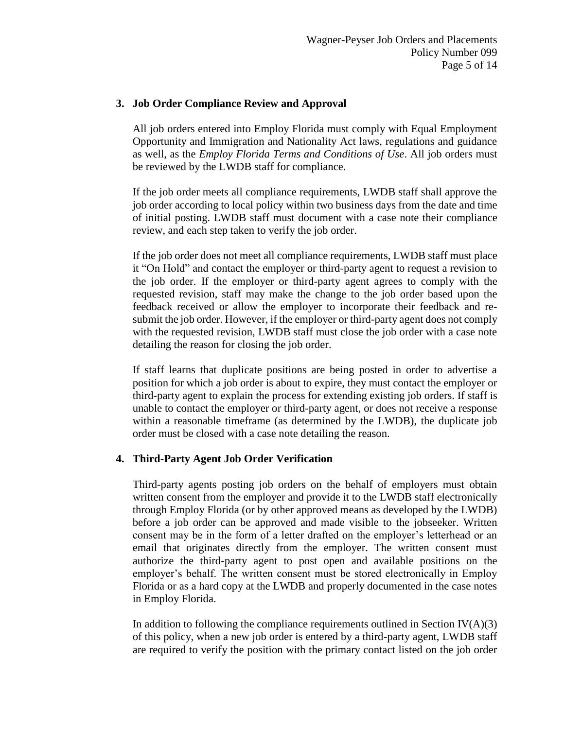### **3. Job Order Compliance Review and Approval**

All job orders entered into Employ Florida must comply with Equal Employment Opportunity and Immigration and Nationality Act laws, regulations and guidance as well, as the *Employ Florida Terms and Conditions of Use*. All job orders must be reviewed by the LWDB staff for compliance.

If the job order meets all compliance requirements, LWDB staff shall approve the job order according to local policy within two business days from the date and time of initial posting. LWDB staff must document with a case note their compliance review, and each step taken to verify the job order.

If the job order does not meet all compliance requirements, LWDB staff must place it "On Hold" and contact the employer or third-party agent to request a revision to the job order. If the employer or third-party agent agrees to comply with the requested revision, staff may make the change to the job order based upon the feedback received or allow the employer to incorporate their feedback and resubmit the job order. However, if the employer or third-party agent does not comply with the requested revision, LWDB staff must close the job order with a case note detailing the reason for closing the job order.

If staff learns that duplicate positions are being posted in order to advertise a position for which a job order is about to expire, they must contact the employer or third-party agent to explain the process for extending existing job orders. If staff is unable to contact the employer or third-party agent, or does not receive a response within a reasonable timeframe (as determined by the LWDB), the duplicate job order must be closed with a case note detailing the reason.

## **4. Third-Party Agent Job Order Verification**

Third-party agents posting job orders on the behalf of employers must obtain written consent from the employer and provide it to the LWDB staff electronically through Employ Florida (or by other approved means as developed by the LWDB) before a job order can be approved and made visible to the jobseeker. Written consent may be in the form of a letter drafted on the employer's letterhead or an email that originates directly from the employer. The written consent must authorize the third-party agent to post open and available positions on the employer's behalf. The written consent must be stored electronically in Employ Florida or as a hard copy at the LWDB and properly documented in the case notes in Employ Florida.

In addition to following the compliance requirements outlined in Section  $IV(A)(3)$ of this policy, when a new job order is entered by a third-party agent, LWDB staff are required to verify the position with the primary contact listed on the job order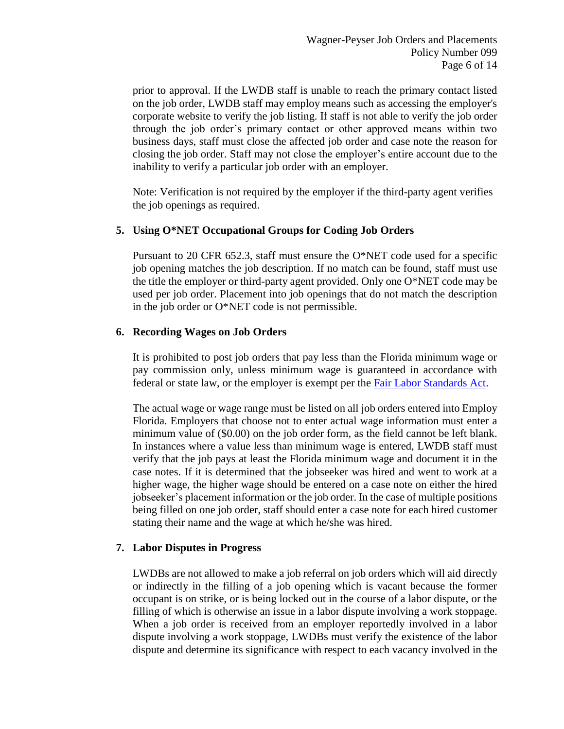prior to approval. If the LWDB staff is unable to reach the primary contact listed on the job order, LWDB staff may employ means such as accessing the employer's corporate website to verify the job listing. If staff is not able to verify the job order through the job order's primary contact or other approved means within two business days, staff must close the affected job order and case note the reason for closing the job order. Staff may not close the employer's entire account due to the inability to verify a particular job order with an employer.

Note: Verification is not required by the employer if the third-party agent verifies the job openings as required.

## **5. Using O\*NET Occupational Groups for Coding Job Orders**

Pursuant to 20 CFR 652.3, staff must ensure the O\*NET code used for a specific job opening matches the job description. If no match can be found, staff must use the title the employer or third-party agent provided. Only one O\*NET code may be used per job order. Placement into job openings that do not match the description in the job order or O\*NET code is not permissible.

### **6. Recording Wages on Job Orders**

It is prohibited to post job orders that pay less than the Florida minimum wage or pay commission only, unless minimum wage is guaranteed in accordance with federal or state law, or the employer is exempt per the Fair Labor Standards Act.

The actual wage or wage range must be listed on all job orders entered into Employ Florida. Employers that choose not to enter actual wage information must enter a minimum value of (\$0.00) on the job order form, as the field cannot be left blank. In instances where a value less than minimum wage is entered, LWDB staff must verify that the job pays at least the Florida minimum wage and document it in the case notes. If it is determined that the jobseeker was hired and went to work at a higher wage, the higher wage should be entered on a case note on either the hired jobseeker's placement information or the job order. In the case of multiple positions being filled on one job order, staff should enter a case note for each hired customer stating their name and the wage at which he/she was hired.

## **7. Labor Disputes in Progress**

LWDBs are not allowed to make a job referral on job orders which will aid directly or indirectly in the filling of a job opening which is vacant because the former occupant is on strike, or is being locked out in the course of a labor dispute, or the filling of which is otherwise an issue in a labor dispute involving a work stoppage. When a job order is received from an employer reportedly involved in a labor dispute involving a work stoppage, LWDBs must verify the existence of the labor dispute and determine its significance with respect to each vacancy involved in the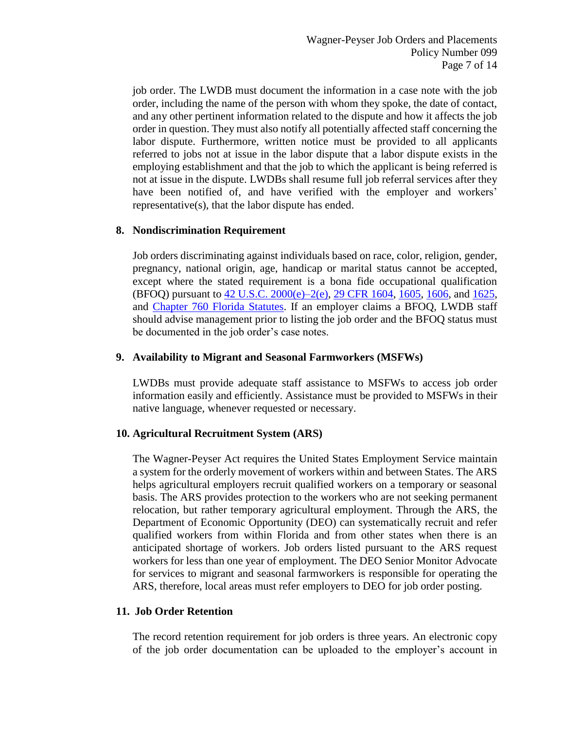job order. The LWDB must document the information in a case note with the job order, including the name of the person with whom they spoke, the date of contact, and any other pertinent information related to the dispute and how it affects the job order in question. They must also notify all potentially affected staff concerning the labor dispute. Furthermore, written notice must be provided to all applicants referred to jobs not at issue in the labor dispute that a labor dispute exists in the employing establishment and that the job to which the applicant is being referred is not at issue in the dispute. LWDBs shall resume full job referral services after they have been notified of, and have verified with the employer and workers' representative(s), that the labor dispute has ended.

### **8. Nondiscrimination Requirement**

Job orders discriminating against individuals based on race, color, religion, gender, pregnancy, national origin, age, handicap or marital status cannot be accepted, except where the stated requirement is a bona fide occupational qualification (BFOQ) pursuant to 42 U.S.C. 2000(e)–2(e), 29 CFR 1604, 1605, 1606, and 1625, and Chapter 760 Florida Statutes. If an employer claims a BFOQ, LWDB staff should advise management prior to listing the job order and the BFOQ status must be documented in the job order's case notes.

### **9. Availability to Migrant and Seasonal Farmworkers (MSFWs)**

LWDBs must provide adequate staff assistance to MSFWs to access job order information easily and efficiently. Assistance must be provided to MSFWs in their native language, whenever requested or necessary.

## **10. Agricultural Recruitment System (ARS)**

The Wagner-Peyser Act requires the United States Employment Service maintain a system for the orderly movement of workers within and between States. The ARS helps agricultural employers recruit qualified workers on a temporary or seasonal basis. The ARS provides protection to the workers who are not seeking permanent relocation, but rather temporary agricultural employment. Through the ARS, the Department of Economic Opportunity (DEO) can systematically recruit and refer qualified workers from within Florida and from other states when there is an anticipated shortage of workers. Job orders listed pursuant to the ARS request workers for less than one year of employment. The DEO Senior Monitor Advocate for services to migrant and seasonal farmworkers is responsible for operating the ARS, therefore, local areas must refer employers to DEO for job order posting.

#### **11. Job Order Retention**

The record retention requirement for job orders is three years. An electronic copy of the job order documentation can be uploaded to the employer's account in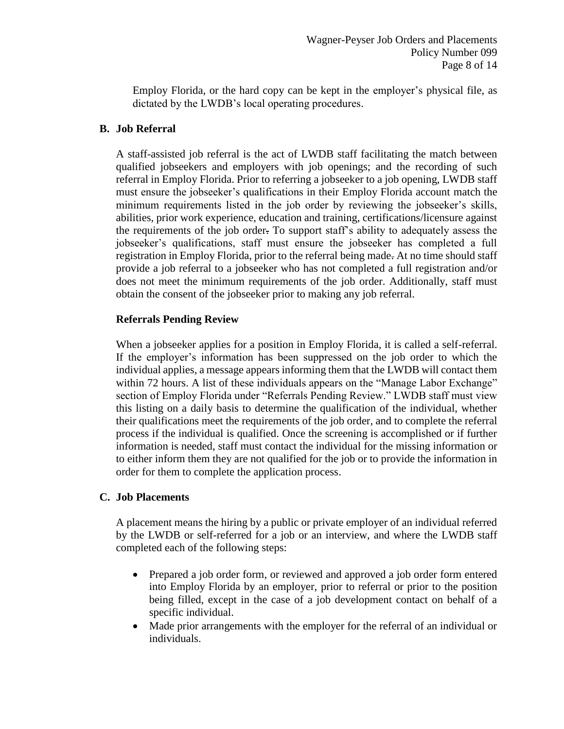Employ Florida, or the hard copy can be kept in the employer's physical file, as dictated by the LWDB's local operating procedures.

### **B. Job Referral**

A staff-assisted job referral is the act of LWDB staff facilitating the match between qualified jobseekers and employers with job openings; and the recording of such referral in Employ Florida. Prior to referring a jobseeker to a job opening, LWDB staff must ensure the jobseeker's qualifications in their Employ Florida account match the minimum requirements listed in the job order by reviewing the jobseeker's skills, abilities, prior work experience, education and training, certifications/licensure against the requirements of the job order. To support staff's ability to adequately assess the jobseeker's qualifications, staff must ensure the jobseeker has completed a full registration in Employ Florida, prior to the referral being made. At no time should staff provide a job referral to a jobseeker who has not completed a full registration and/or does not meet the minimum requirements of the job order. Additionally, staff must obtain the consent of the jobseeker prior to making any job referral.

### **Referrals Pending Review**

When a jobseeker applies for a position in Employ Florida, it is called a self-referral. If the employer's information has been suppressed on the job order to which the individual applies, a message appears informing them that the LWDB will contact them within 72 hours. A list of these individuals appears on the "Manage Labor Exchange" section of Employ Florida under "Referrals Pending Review." LWDB staff must view this listing on a daily basis to determine the qualification of the individual, whether their qualifications meet the requirements of the job order, and to complete the referral process if the individual is qualified. Once the screening is accomplished or if further information is needed, staff must contact the individual for the missing information or to either inform them they are not qualified for the job or to provide the information in order for them to complete the application process.

#### **C. Job Placements**

A placement means the hiring by a public or private employer of an individual referred by the LWDB or self-referred for a job or an interview, and where the LWDB staff completed each of the following steps:

- Prepared a job order form, or reviewed and approved a job order form entered into Employ Florida by an employer, prior to referral or prior to the position being filled, except in the case of a job development contact on behalf of a specific individual.
- Made prior arrangements with the employer for the referral of an individual or individuals.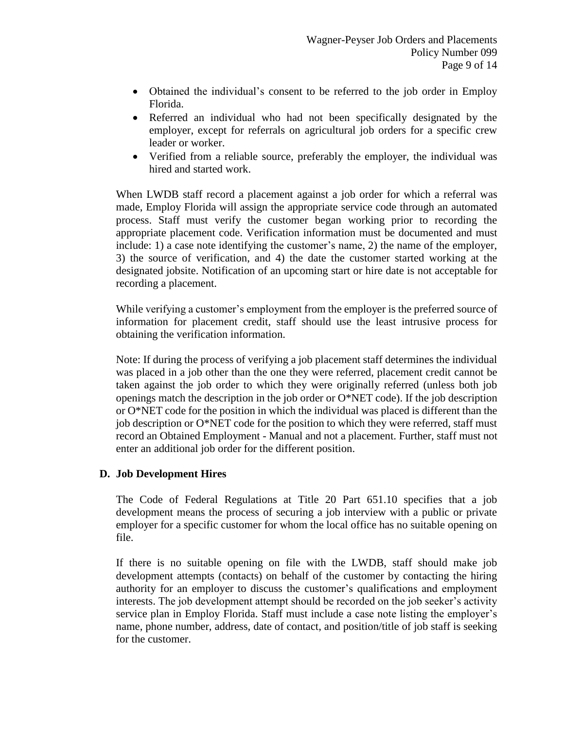- Obtained the individual's consent to be referred to the job order in Employ Florida.
- Referred an individual who had not been specifically designated by the employer, except for referrals on agricultural job orders for a specific crew leader or worker.
- Verified from a reliable source, preferably the employer, the individual was hired and started work.

When LWDB staff record a placement against a job order for which a referral was made, Employ Florida will assign the appropriate service code through an automated process. Staff must verify the customer began working prior to recording the appropriate placement code. Verification information must be documented and must include: 1) a case note identifying the customer's name, 2) the name of the employer, 3) the source of verification, and 4) the date the customer started working at the designated jobsite. Notification of an upcoming start or hire date is not acceptable for recording a placement.

While verifying a customer's employment from the employer is the preferred source of information for placement credit, staff should use the least intrusive process for obtaining the verification information.

Note: If during the process of verifying a job placement staff determines the individual was placed in a job other than the one they were referred, placement credit cannot be taken against the job order to which they were originally referred (unless both job openings match the description in the job order or  $O^*NET$  code). If the job description or O\*NET code for the position in which the individual was placed is different than the job description or O\*NET code for the position to which they were referred, staff must record an Obtained Employment - Manual and not a placement. Further, staff must not enter an additional job order for the different position.

#### **D. Job Development Hires**

The Code of Federal Regulations at Title 20 Part 651.10 specifies that a job development means the process of securing a job interview with a public or private employer for a specific customer for whom the local office has no suitable opening on file.

If there is no suitable opening on file with the LWDB, staff should make job development attempts (contacts) on behalf of the customer by contacting the hiring authority for an employer to discuss the customer's qualifications and employment interests. The job development attempt should be recorded on the job seeker's activity service plan in Employ Florida. Staff must include a case note listing the employer's name, phone number, address, date of contact, and position/title of job staff is seeking for the customer.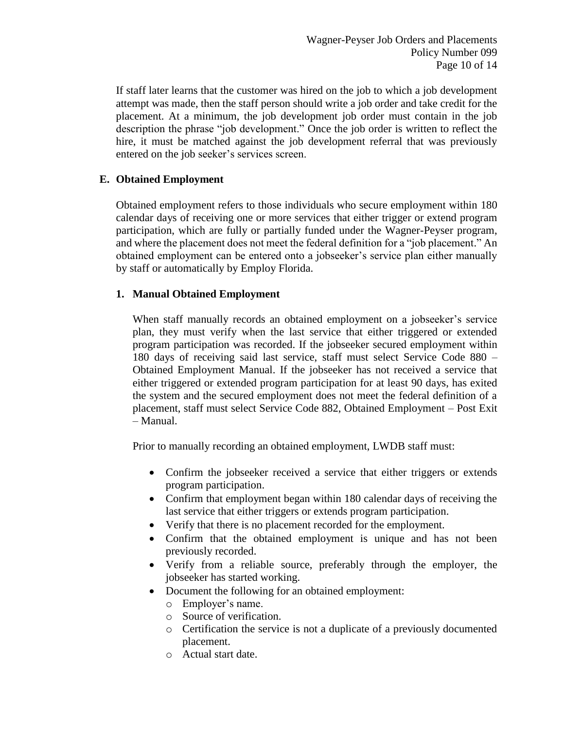If staff later learns that the customer was hired on the job to which a job development attempt was made, then the staff person should write a job order and take credit for the placement. At a minimum, the job development job order must contain in the job description the phrase "job development." Once the job order is written to reflect the hire, it must be matched against the job development referral that was previously entered on the job seeker's services screen.

## **E. Obtained Employment**

Obtained employment refers to those individuals who secure employment within 180 calendar days of receiving one or more services that either trigger or extend program participation, which are fully or partially funded under the Wagner-Peyser program, and where the placement does not meet the federal definition for a "job placement." An obtained employment can be entered onto a jobseeker's service plan either manually by staff or automatically by Employ Florida.

## **1. Manual Obtained Employment**

When staff manually records an obtained employment on a jobseeker's service plan, they must verify when the last service that either triggered or extended program participation was recorded. If the jobseeker secured employment within 180 days of receiving said last service, staff must select Service Code 880 – Obtained Employment Manual. If the jobseeker has not received a service that either triggered or extended program participation for at least 90 days, has exited the system and the secured employment does not meet the federal definition of a placement, staff must select Service Code 882, Obtained Employment – Post Exit – Manual.

Prior to manually recording an obtained employment, LWDB staff must:

- Confirm the jobseeker received a service that either triggers or extends program participation.
- Confirm that employment began within 180 calendar days of receiving the last service that either triggers or extends program participation.
- Verify that there is no placement recorded for the employment.
- Confirm that the obtained employment is unique and has not been previously recorded.
- Verify from a reliable source, preferably through the employer, the jobseeker has started working.
- Document the following for an obtained employment:
	- o Employer's name.
	- o Source of verification.
	- o Certification the service is not a duplicate of a previously documented placement.
	- o Actual start date.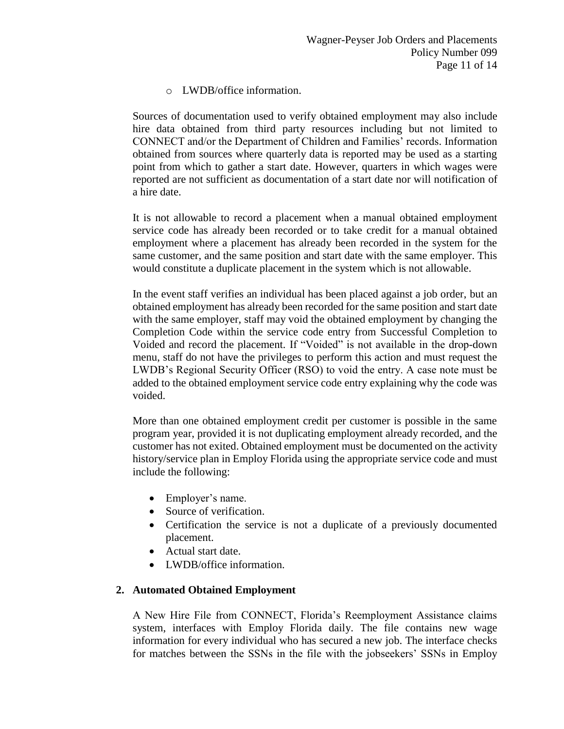o LWDB/office information.

Sources of documentation used to verify obtained employment may also include hire data obtained from third party resources including but not limited to CONNECT and/or the Department of Children and Families' records. Information obtained from sources where quarterly data is reported may be used as a starting point from which to gather a start date. However, quarters in which wages were reported are not sufficient as documentation of a start date nor will notification of a hire date.

It is not allowable to record a placement when a manual obtained employment service code has already been recorded or to take credit for a manual obtained employment where a placement has already been recorded in the system for the same customer, and the same position and start date with the same employer. This would constitute a duplicate placement in the system which is not allowable.

In the event staff verifies an individual has been placed against a job order, but an obtained employment has already been recorded for the same position and start date with the same employer, staff may void the obtained employment by changing the Completion Code within the service code entry from Successful Completion to Voided and record the placement. If "Voided" is not available in the drop-down menu, staff do not have the privileges to perform this action and must request the LWDB's Regional Security Officer (RSO) to void the entry. A case note must be added to the obtained employment service code entry explaining why the code was voided.

More than one obtained employment credit per customer is possible in the same program year, provided it is not duplicating employment already recorded, and the customer has not exited. Obtained employment must be documented on the activity history/service plan in Employ Florida using the appropriate service code and must include the following:

- Employer's name.
- Source of verification.
- Certification the service is not a duplicate of a previously documented placement.
- Actual start date.
- LWDB/office information.

## **2. Automated Obtained Employment**

A New Hire File from CONNECT, Florida's Reemployment Assistance claims system, interfaces with Employ Florida daily. The file contains new wage information for every individual who has secured a new job. The interface checks for matches between the SSNs in the file with the jobseekers' SSNs in Employ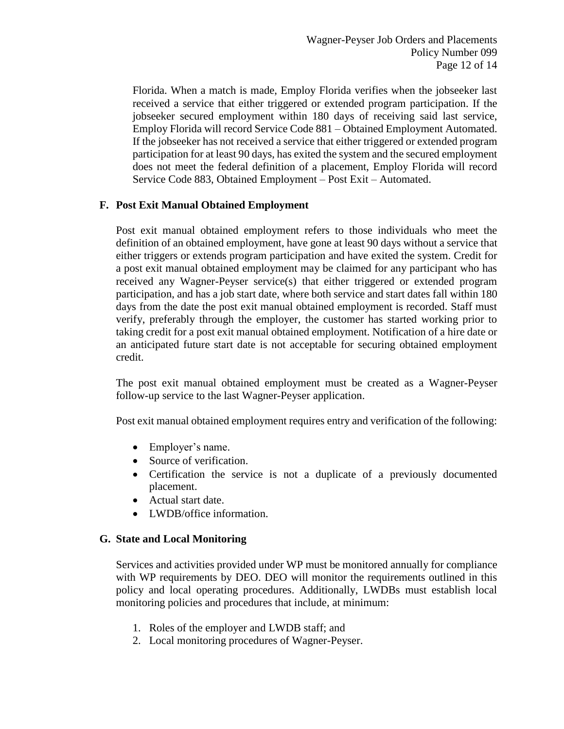Florida. When a match is made, Employ Florida verifies when the jobseeker last received a service that either triggered or extended program participation. If the jobseeker secured employment within 180 days of receiving said last service, Employ Florida will record Service Code 881 – Obtained Employment Automated. If the jobseeker has not received a service that either triggered or extended program participation for at least 90 days, has exited the system and the secured employment does not meet the federal definition of a placement, Employ Florida will record Service Code 883, Obtained Employment – Post Exit – Automated.

## **F. Post Exit Manual Obtained Employment**

Post exit manual obtained employment refers to those individuals who meet the definition of an obtained employment, have gone at least 90 days without a service that either triggers or extends program participation and have exited the system. Credit for a post exit manual obtained employment may be claimed for any participant who has received any Wagner-Peyser service(s) that either triggered or extended program participation, and has a job start date, where both service and start dates fall within 180 days from the date the post exit manual obtained employment is recorded. Staff must verify, preferably through the employer, the customer has started working prior to taking credit for a post exit manual obtained employment. Notification of a hire date or an anticipated future start date is not acceptable for securing obtained employment credit.

The post exit manual obtained employment must be created as a Wagner-Peyser follow-up service to the last Wagner-Peyser application.

Post exit manual obtained employment requires entry and verification of the following:

- Employer's name.
- Source of verification.
- Certification the service is not a duplicate of a previously documented placement.
- Actual start date.
- LWDB/office information.

# **G. State and Local Monitoring**

Services and activities provided under WP must be monitored annually for compliance with WP requirements by DEO. DEO will monitor the requirements outlined in this policy and local operating procedures. Additionally, LWDBs must establish local monitoring policies and procedures that include, at minimum:

- 1. Roles of the employer and LWDB staff; and
- 2. Local monitoring procedures of Wagner-Peyser.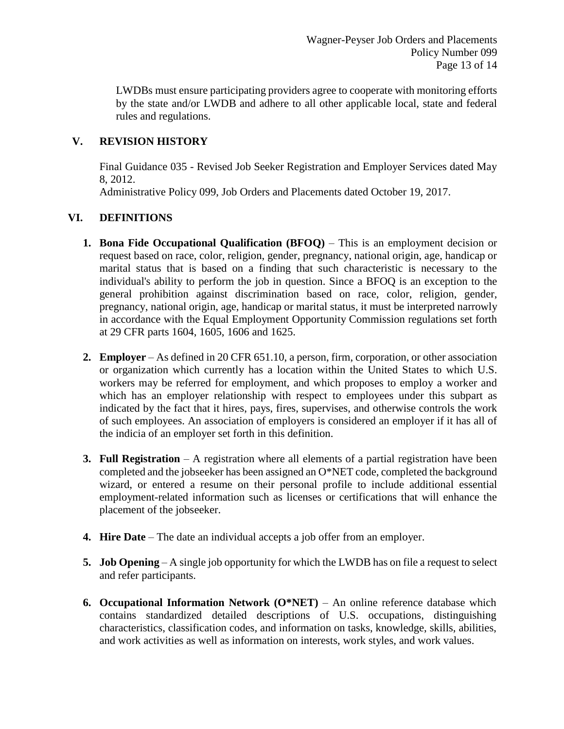LWDBs must ensure participating providers agree to cooperate with monitoring efforts by the state and/or LWDB and adhere to all other applicable local, state and federal rules and regulations.

## **V. REVISION HISTORY**

Final Guidance 035 - Revised Job Seeker Registration and Employer Services dated May 8, 2012.

Administrative Policy 099, Job Orders and Placements dated October 19, 2017.

## **VI. DEFINITIONS**

- **1. Bona Fide Occupational Qualification (BFOQ)**  This is an employment decision or request based on race, color, religion, gender, pregnancy, national origin, age, handicap or marital status that is based on a finding that such characteristic is necessary to the individual's ability to perform the job in question. Since a BFOQ is an exception to the general prohibition against discrimination based on race, color, religion, gender, pregnancy, national origin, age, handicap or marital status, it must be interpreted narrowly in accordance with the Equal Employment Opportunity Commission regulations set forth at 29 CFR parts 1604, 1605, 1606 and 1625.
- **2. Employer**  As defined in 20 CFR 651.10, a person, firm, corporation, or other association or organization which currently has a location within the United States to which U.S. workers may be referred for employment, and which proposes to employ a worker and which has an employer relationship with respect to employees under this subpart as indicated by the fact that it hires, pays, fires, supervises, and otherwise controls the work of such employees. An association of employers is considered an employer if it has all of the indicia of an employer set forth in this definition.
- **3. Full Registration** A registration where all elements of a partial registration have been completed and the jobseeker has been assigned an O\*NET code, completed the background wizard, or entered a resume on their personal profile to include additional essential employment-related information such as licenses or certifications that will enhance the placement of the jobseeker.
- **4. Hire Date** The date an individual accepts a job offer from an employer.
- **5. Job Opening** A single job opportunity for which the LWDB has on file a request to select and refer participants.
- **6. Occupational Information Network (O\*NET)** An online reference database which contains standardized detailed descriptions of U.S. occupations, distinguishing characteristics, classification codes, and information on tasks, knowledge, skills, abilities, and work activities as well as information on interests, work styles, and work values.